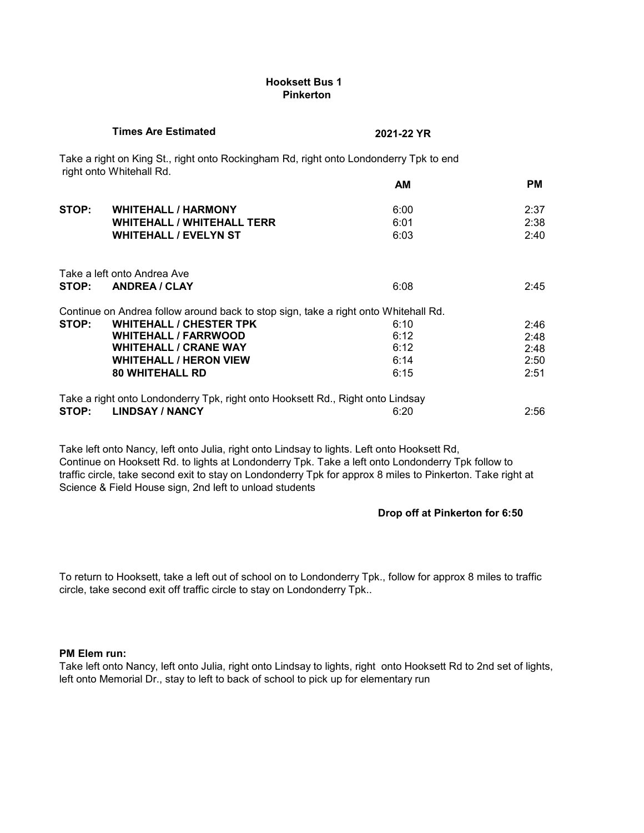# **Hooksett Bus 1 Pinkerton**

|       | <b>Times Are Estimated</b>                                                                                        | 2021-22 YR |           |
|-------|-------------------------------------------------------------------------------------------------------------------|------------|-----------|
|       | Take a right on King St., right onto Rockingham Rd, right onto Londonderry Tpk to end<br>right onto Whitehall Rd. |            |           |
|       |                                                                                                                   | <b>AM</b>  | <b>PM</b> |
| STOP: | <b>WHITEHALL / HARMONY</b>                                                                                        | 6:00       | 2:37      |
|       | <b>WHITEHALL / WHITEHALL TERR</b>                                                                                 | 6:01       | 2:38      |
|       | <b>WHITEHALL / EVELYN ST</b>                                                                                      | 6:03       | 2:40      |
|       | Take a left onto Andrea Ave                                                                                       |            |           |
| STOP: | <b>ANDREA / CLAY</b>                                                                                              | 6:08       | 2:45      |
|       | Continue on Andrea follow around back to stop sign, take a right onto Whitehall Rd.                               |            |           |
| STOP: | <b>WHITEHALL / CHESTER TPK</b>                                                                                    | 6:10       | 2:46      |
|       | <b>WHITEHALL / FARRWOOD</b>                                                                                       | 6:12       | 2:48      |
|       | <b>WHITEHALL / CRANE WAY</b>                                                                                      | 6:12       | 2:48      |
|       | <b>WHITEHALL / HERON VIEW</b>                                                                                     | 6:14       | 2:50      |
|       | <b>80 WHITEHALL RD</b>                                                                                            | 6:15       | 2:51      |
|       | Take a right onto Londonderry Tpk, right onto Hooksett Rd., Right onto Lindsay                                    |            |           |
| STOP: | <b>LINDSAY / NANCY</b>                                                                                            | 6:20       | 2:56      |

Take left onto Nancy, left onto Julia, right onto Lindsay to lights. Left onto Hooksett Rd, Continue on Hooksett Rd. to lights at Londonderry Tpk. Take a left onto Londonderry Tpk follow to traffic circle, take second exit to stay on Londonderry Tpk for approx 8 miles to Pinkerton. Take right at Science & Field House sign, 2nd left to unload students

# **Drop off at Pinkerton for 6:50**

To return to Hooksett, take a left out of school on to Londonderry Tpk., follow for approx 8 miles to traffic circle, take second exit off traffic circle to stay on Londonderry Tpk..

#### **PM Elem run:**

Take left onto Nancy, left onto Julia, right onto Lindsay to lights, right onto Hooksett Rd to 2nd set of lights, left onto Memorial Dr., stay to left to back of school to pick up for elementary run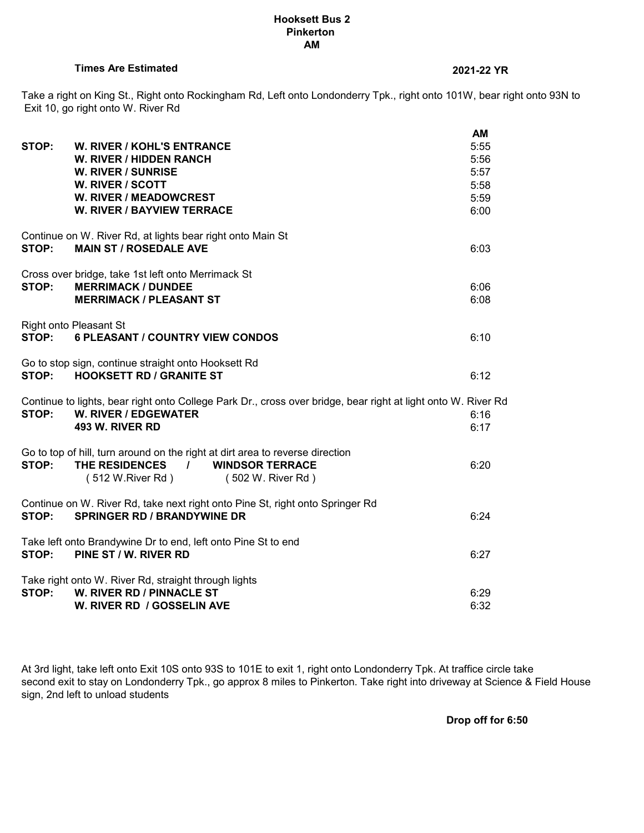#### **Hooksett Bus 2 Pinkerton AM**

# **Times Are Estimated 2021-22 YR**

Take a right on King St., Right onto Rockingham Rd, Left onto Londonderry Tpk., right onto 101W, bear right onto 93N to Exit 10, go right onto W. River Rd

| STOP: | W. RIVER / KOHL'S ENTRANCE<br>W. RIVER / HIDDEN RANCH<br><b>W. RIVER / SUNRISE</b><br>W. RIVER / SCOTT<br><b>W. RIVER / MEADOWCREST</b><br><b>W. RIVER / BAYVIEW TERRACE</b>        | AM<br>5:55<br>5:56<br>5:57<br>5:58<br>5:59<br>6:00 |
|-------|-------------------------------------------------------------------------------------------------------------------------------------------------------------------------------------|----------------------------------------------------|
| STOP: | Continue on W. River Rd, at lights bear right onto Main St<br><b>MAIN ST / ROSEDALE AVE</b>                                                                                         | 6:03                                               |
| STOP: | Cross over bridge, take 1st left onto Merrimack St<br><b>MERRIMACK / DUNDEE</b><br><b>MERRIMACK / PLEASANT ST</b>                                                                   | 6:06<br>6:08                                       |
| STOP: | <b>Right onto Pleasant St</b><br><b>6 PLEASANT / COUNTRY VIEW CONDOS</b>                                                                                                            | 6:10                                               |
|       | Go to stop sign, continue straight onto Hooksett Rd<br>STOP: HOOKSETT RD / GRANITE ST                                                                                               | 6:12                                               |
| STOP: | Continue to lights, bear right onto College Park Dr., cross over bridge, bear right at light onto W. River Rd<br>W. RIVER / EDGEWATER<br>493 W. RIVER RD                            | 6:16<br>6:17                                       |
| STOP: | Go to top of hill, turn around on the right at dirt area to reverse direction<br>THE RESIDENCES<br>$\frac{1}{2}$<br><b>WINDSOR TERRACE</b><br>(512 W.River Rd)<br>(502 W. River Rd) | 6:20                                               |
| STOP: | Continue on W. River Rd, take next right onto Pine St, right onto Springer Rd<br><b>SPRINGER RD / BRANDYWINE DR</b>                                                                 | 6:24                                               |
| STOP: | Take left onto Brandywine Dr to end, left onto Pine St to end<br>PINE ST / W. RIVER RD                                                                                              | 6:27                                               |
| STOP: | Take right onto W. River Rd, straight through lights<br>W. RIVER RD / PINNACLE ST<br>W. RIVER RD / GOSSELIN AVE                                                                     | 6:29<br>6:32                                       |

At 3rd light, take left onto Exit 10S onto 93S to 101E to exit 1, right onto Londonderry Tpk. At traffice circle take second exit to stay on Londonderry Tpk., go approx 8 miles to Pinkerton. Take right into driveway at Science & Field House sign, 2nd left to unload students

**Drop off for 6:50**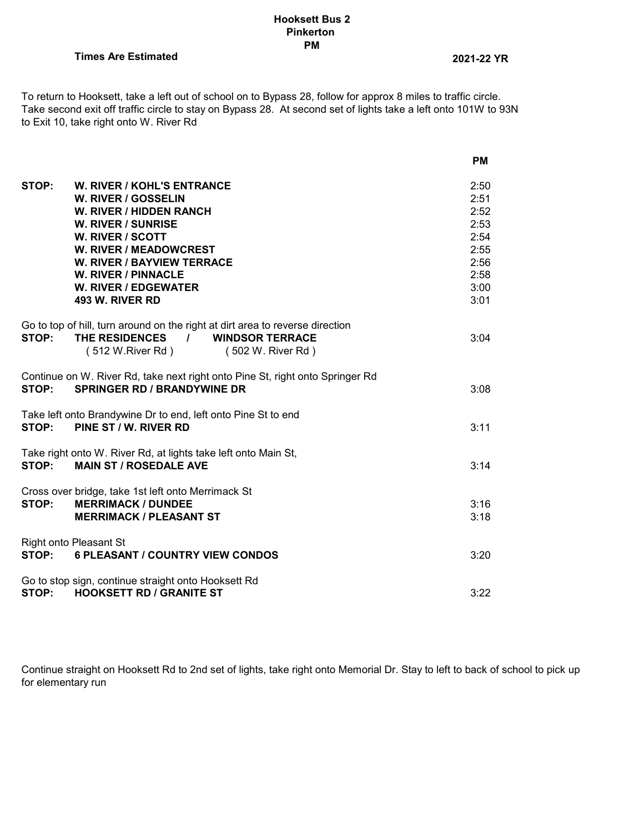## **Hooksett Bus 2 Pinkerton PM**

**Times Are Estimated 2021-22 YR**

To return to Hooksett, take a left out of school on to Bypass 28, follow for approx 8 miles to traffic circle. Take second exit off traffic circle to stay on Bypass 28. At second set of lights take a left onto 101W to 93N to Exit 10, take right onto W. River Rd

|                                                                                                                                                                                                                                                                                                            | <b>PM</b>                                                                    |
|------------------------------------------------------------------------------------------------------------------------------------------------------------------------------------------------------------------------------------------------------------------------------------------------------------|------------------------------------------------------------------------------|
| STOP:<br><b>W. RIVER / KOHL'S ENTRANCE</b><br>W. RIVER / GOSSELIN<br><b>W. RIVER / HIDDEN RANCH</b><br><b>W. RIVER / SUNRISE</b><br>W. RIVER / SCOTT<br><b>W. RIVER / MEADOWCREST</b><br><b>W. RIVER / BAYVIEW TERRACE</b><br><b>W. RIVER / PINNACLE</b><br><b>W. RIVER / EDGEWATER</b><br>493 W. RIVER RD | 2:50<br>2:51<br>2:52<br>2:53<br>2:54<br>2:55<br>2:56<br>2:58<br>3:00<br>3:01 |
| Go to top of hill, turn around on the right at dirt area to reverse direction<br>STOP:<br>THE RESIDENCES<br>/ WINDSOR TERRACE<br>(512 W.River Rd)<br>(502 W. River Rd)                                                                                                                                     | 3:04                                                                         |
| Continue on W. River Rd, take next right onto Pine St, right onto Springer Rd<br><b>SPRINGER RD / BRANDYWINE DR</b><br>STOP:                                                                                                                                                                               | 3:08                                                                         |
| Take left onto Brandywine Dr to end, left onto Pine St to end<br>PINE ST / W. RIVER RD<br>STOP:                                                                                                                                                                                                            | 3:11                                                                         |
| Take right onto W. River Rd, at lights take left onto Main St,<br>STOP:<br><b>MAIN ST / ROSEDALE AVE</b>                                                                                                                                                                                                   | 3:14                                                                         |
| Cross over bridge, take 1st left onto Merrimack St<br>STOP:<br><b>MERRIMACK / DUNDEE</b><br><b>MERRIMACK / PLEASANT ST</b>                                                                                                                                                                                 | 3:16<br>3:18                                                                 |
| <b>Right onto Pleasant St</b><br>STOP:<br><b>6 PLEASANT / COUNTRY VIEW CONDOS</b>                                                                                                                                                                                                                          | 3:20                                                                         |
| Go to stop sign, continue straight onto Hooksett Rd<br><b>HOOKSETT RD / GRANITE ST</b><br>STOP:                                                                                                                                                                                                            | 3:22                                                                         |

Continue straight on Hooksett Rd to 2nd set of lights, take right onto Memorial Dr. Stay to left to back of school to pick up for elementary run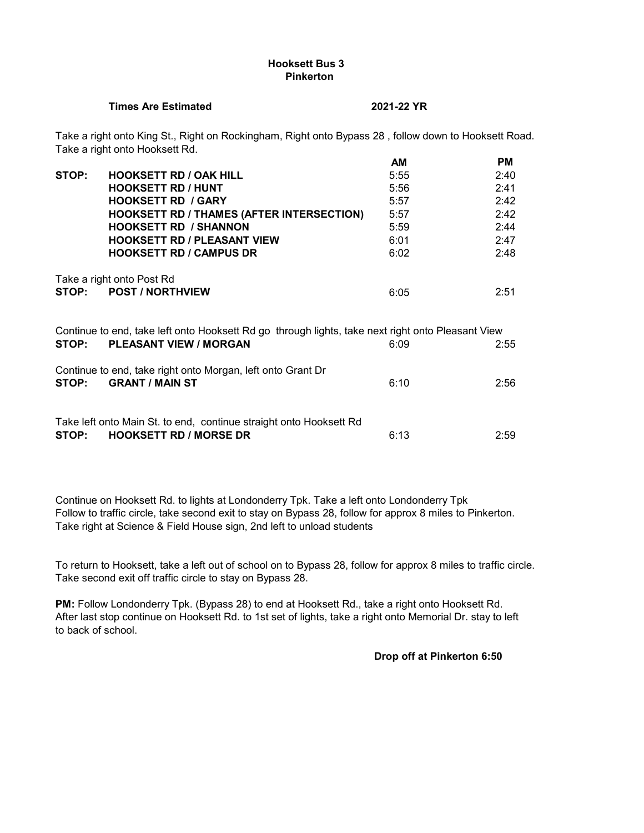# **Hooksett Bus 3 Pinkerton**

#### **Times Are Estimated 2021-22 YR**

Take a right onto King St., Right on Rockingham, Right onto Bypass 28 , follow down to Hooksett Road. Take a right onto Hooksett Rd.

|       |                                                                                                                                    | AМ   | PМ   |
|-------|------------------------------------------------------------------------------------------------------------------------------------|------|------|
| STOP: | <b>HOOKSETT RD / OAK HILL</b>                                                                                                      | 5:55 | 2:40 |
|       | <b>HOOKSETT RD / HUNT</b>                                                                                                          | 5:56 | 2:41 |
|       | <b>HOOKSETT RD / GARY</b>                                                                                                          | 5:57 | 2:42 |
|       | <b>HOOKSETT RD / THAMES (AFTER INTERSECTION)</b>                                                                                   | 5:57 | 2:42 |
|       | <b>HOOKSETT RD / SHANNON</b>                                                                                                       | 5:59 | 2:44 |
|       | <b>HOOKSETT RD / PLEASANT VIEW</b>                                                                                                 | 6:01 | 2:47 |
|       | <b>HOOKSETT RD / CAMPUS DR</b>                                                                                                     | 6:02 | 2:48 |
| STOP: | Take a right onto Post Rd<br><b>POST / NORTHVIEW</b>                                                                               | 6:05 | 2:51 |
| STOP: | Continue to end, take left onto Hooksett Rd go through lights, take next right onto Pleasant View<br><b>PLEASANT VIEW / MORGAN</b> | 6:09 | 2:55 |
| STOP: | Continue to end, take right onto Morgan, left onto Grant Dr<br><b>GRANT / MAIN ST</b>                                              | 6:10 | 2:56 |
| STOP: | Take left onto Main St. to end, continue straight onto Hooksett Rd<br><b>HOOKSETT RD / MORSE DR</b>                                | 6:13 | 2:59 |

Continue on Hooksett Rd. to lights at Londonderry Tpk. Take a left onto Londonderry Tpk Follow to traffic circle, take second exit to stay on Bypass 28, follow for approx 8 miles to Pinkerton. Take right at Science & Field House sign, 2nd left to unload students

To return to Hooksett, take a left out of school on to Bypass 28, follow for approx 8 miles to traffic circle. Take second exit off traffic circle to stay on Bypass 28.

**PM:** Follow Londonderry Tpk. (Bypass 28) to end at Hooksett Rd., take a right onto Hooksett Rd. After last stop continue on Hooksett Rd. to 1st set of lights, take a right onto Memorial Dr. stay to left to back of school.

#### **Drop off at Pinkerton 6:50**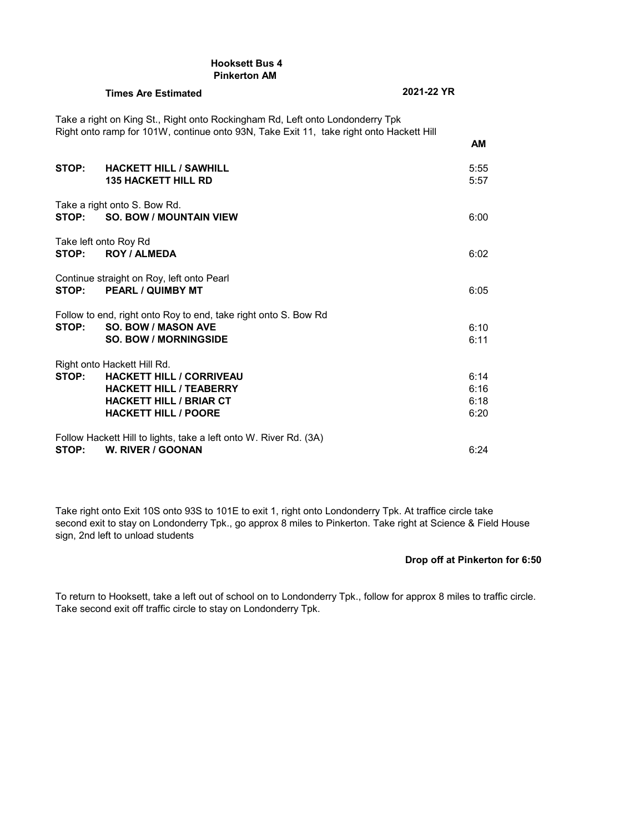|       | <b>Hooksett Bus 4</b><br><b>Pinkerton AM</b>                                                                                                                             |                              |
|-------|--------------------------------------------------------------------------------------------------------------------------------------------------------------------------|------------------------------|
|       | <b>Times Are Estimated</b>                                                                                                                                               | 2021-22 YR                   |
|       | Take a right on King St., Right onto Rockingham Rd, Left onto Londonderry Tpk<br>Right onto ramp for 101W, continue onto 93N, Take Exit 11, take right onto Hackett Hill | <b>AM</b>                    |
| STOP: | <b>HACKETT HILL / SAWHILL</b><br><b>135 HACKETT HILL RD</b>                                                                                                              | 5:55<br>5:57                 |
| STOP: | Take a right onto S. Bow Rd.<br><b>SO. BOW / MOUNTAIN VIEW</b>                                                                                                           | 6:00                         |
| STOP: | Take left onto Roy Rd<br><b>ROY / ALMEDA</b>                                                                                                                             | 6:02                         |
| STOP: | Continue straight on Roy, left onto Pearl<br><b>PEARL / QUIMBY MT</b>                                                                                                    | 6:05                         |
| STOP: | Follow to end, right onto Roy to end, take right onto S. Bow Rd<br><b>SO. BOW / MASON AVE</b><br><b>SO. BOW / MORNINGSIDE</b>                                            | 6:10<br>6:11                 |
| STOP: | Right onto Hackett Hill Rd.<br><b>HACKETT HILL / CORRIVEAU</b><br><b>HACKETT HILL / TEABERRY</b><br><b>HACKETT HILL / BRIAR CT</b><br><b>HACKETT HILL / POORE</b>        | 6:14<br>6:16<br>6:18<br>6:20 |
| STOP: | Follow Hackett Hill to lights, take a left onto W. River Rd. (3A)<br>W. RIVER / GOONAN                                                                                   | 6:24                         |

Take right onto Exit 10S onto 93S to 101E to exit 1, right onto Londonderry Tpk. At traffice circle take second exit to stay on Londonderry Tpk., go approx 8 miles to Pinkerton. Take right at Science & Field House sign, 2nd left to unload students

## **Drop off at Pinkerton for 6:50**

To return to Hooksett, take a left out of school on to Londonderry Tpk., follow for approx 8 miles to traffic circle. Take second exit off traffic circle to stay on Londonderry Tpk.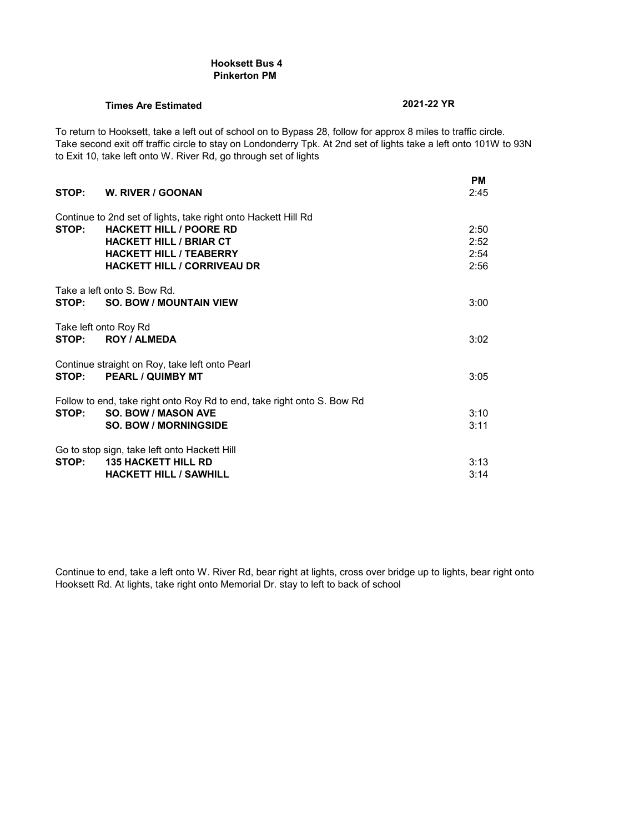#### **Hooksett Bus 4 Pinkerton PM**

# **Times Are Estimated 2021-22 YR**

To return to Hooksett, take a left out of school on to Bypass 28, follow for approx 8 miles to traffic circle. Take second exit off traffic circle to stay on Londonderry Tpk. At 2nd set of lights take a left onto 101W to 93N to Exit 10, take left onto W. River Rd, go through set of lights

|       | STOP: W. RIVER / GOONAN                                                                                                                                                                                    | <b>PM</b><br>2:45            |
|-------|------------------------------------------------------------------------------------------------------------------------------------------------------------------------------------------------------------|------------------------------|
| STOP: | Continue to 2nd set of lights, take right onto Hackett Hill Rd<br><b>HACKETT HILL / POORE RD</b><br><b>HACKETT HILL / BRIAR CT</b><br><b>HACKETT HILL / TEABERRY</b><br><b>HACKETT HILL / CORRIVEAU DR</b> | 2:50<br>2:52<br>2:54<br>2:56 |
|       | Take a left onto S. Bow Rd.<br>STOP: SO, BOW / MOUNTAIN VIEW                                                                                                                                               | 3:00                         |
| STOP: | Take left onto Roy Rd<br><b>ROY / ALMEDA</b>                                                                                                                                                               | 3:02                         |
| STOP: | Continue straight on Roy, take left onto Pearl<br><b>PEARL / QUIMBY MT</b>                                                                                                                                 | 3:05                         |
| STOP: | Follow to end, take right onto Roy Rd to end, take right onto S. Bow Rd<br><b>SO. BOW / MASON AVE</b><br><b>SO. BOW / MORNINGSIDE</b>                                                                      | 3:10<br>3:11                 |
|       | Go to stop sign, take left onto Hackett Hill<br>STOP: 135 HACKETT HILL RD<br><b>HACKETT HILL / SAWHILL</b>                                                                                                 | 3:13<br>3:14                 |

Continue to end, take a left onto W. River Rd, bear right at lights, cross over bridge up to lights, bear right onto Hooksett Rd. At lights, take right onto Memorial Dr. stay to left to back of school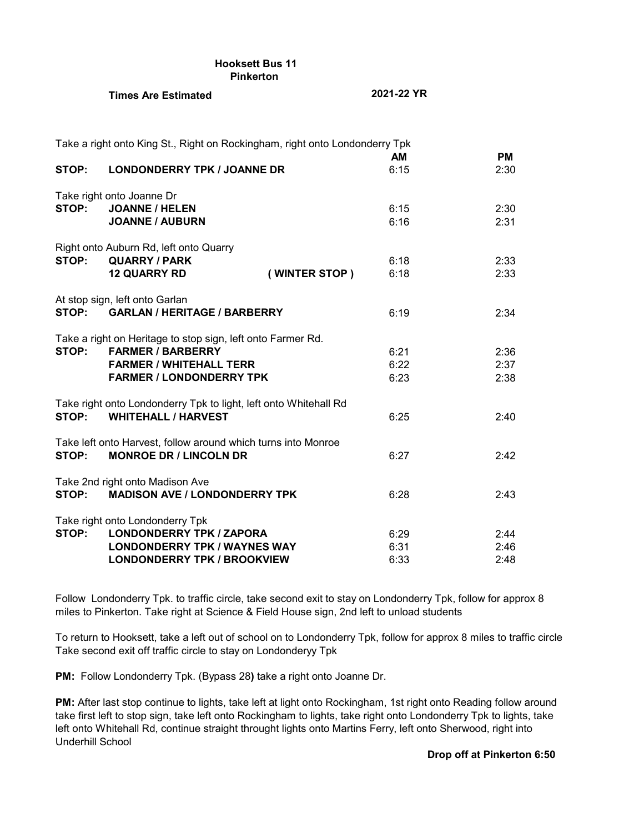| <b>Hooksett Bus 11</b> |  |
|------------------------|--|
| <b>Pinkerton</b>       |  |

# **Times Are Estimated 2021-22 YR**

|       | Take a right onto King St., Right on Rockingham, right onto Londonderry Tpk |               |            |                   |
|-------|-----------------------------------------------------------------------------|---------------|------------|-------------------|
| STOP: | <b>LONDONDERRY TPK / JOANNE DR</b>                                          |               | AM<br>6:15 | <b>PM</b><br>2:30 |
|       | Take right onto Joanne Dr                                                   |               |            |                   |
| STOP: | <b>JOANNE / HELEN</b>                                                       |               | 6:15       | 2:30              |
|       | <b>JOANNE / AUBURN</b>                                                      |               | 6:16       | 2:31              |
|       | Right onto Auburn Rd, left onto Quarry                                      |               |            |                   |
| STOP: | <b>QUARRY / PARK</b>                                                        |               | 6:18       | 2:33              |
|       | <b>12 QUARRY RD</b>                                                         | (WINTER STOP) | 6:18       | 2:33              |
|       | At stop sign, left onto Garlan                                              |               |            |                   |
| STOP: | <b>GARLAN / HERITAGE / BARBERRY</b>                                         |               | 6:19       | 2:34              |
|       | Take a right on Heritage to stop sign, left onto Farmer Rd.                 |               |            |                   |
| STOP: | <b>FARMER / BARBERRY</b>                                                    |               | 6:21       | 2:36              |
|       | <b>FARMER / WHITEHALL TERR</b>                                              |               | 6:22       | 2:37              |
|       | <b>FARMER / LONDONDERRY TPK</b>                                             |               | 6:23       | 2:38              |
|       | Take right onto Londonderry Tpk to light, left onto Whitehall Rd            |               |            |                   |
| STOP: | <b>WHITEHALL / HARVEST</b>                                                  |               | 6:25       | 2:40              |
|       | Take left onto Harvest, follow around which turns into Monroe               |               |            |                   |
| STOP: | <b>MONROE DR / LINCOLN DR</b>                                               |               | 6:27       | 2:42              |
|       | Take 2nd right onto Madison Ave                                             |               |            |                   |
| STOP: | <b>MADISON AVE / LONDONDERRY TPK</b>                                        |               | 6:28       | 2:43              |
|       | Take right onto Londonderry Tpk                                             |               |            |                   |
| STOP: | <b>LONDONDERRY TPK / ZAPORA</b>                                             |               | 6:29       | 2:44              |
|       | <b>LONDONDERRY TPK / WAYNES WAY</b>                                         |               | 6:31       | 2:46              |
|       | <b>LONDONDERRY TPK / BROOKVIEW</b>                                          |               | 6:33       | 2:48              |

Follow Londonderry Tpk. to traffic circle, take second exit to stay on Londonderry Tpk, follow for approx 8 miles to Pinkerton. Take right at Science & Field House sign, 2nd left to unload students

To return to Hooksett, take a left out of school on to Londonderry Tpk, follow for approx 8 miles to traffic circle Take second exit off traffic circle to stay on Londonderyy Tpk

**PM:** Follow Londonderry Tpk. (Bypass 28**)** take a right onto Joanne Dr.

**PM:** After last stop continue to lights, take left at light onto Rockingham, 1st right onto Reading follow around take first left to stop sign, take left onto Rockingham to lights, take right onto Londonderry Tpk to lights, take left onto Whitehall Rd, continue straight throught lights onto Martins Ferry, left onto Sherwood, right into Underhill School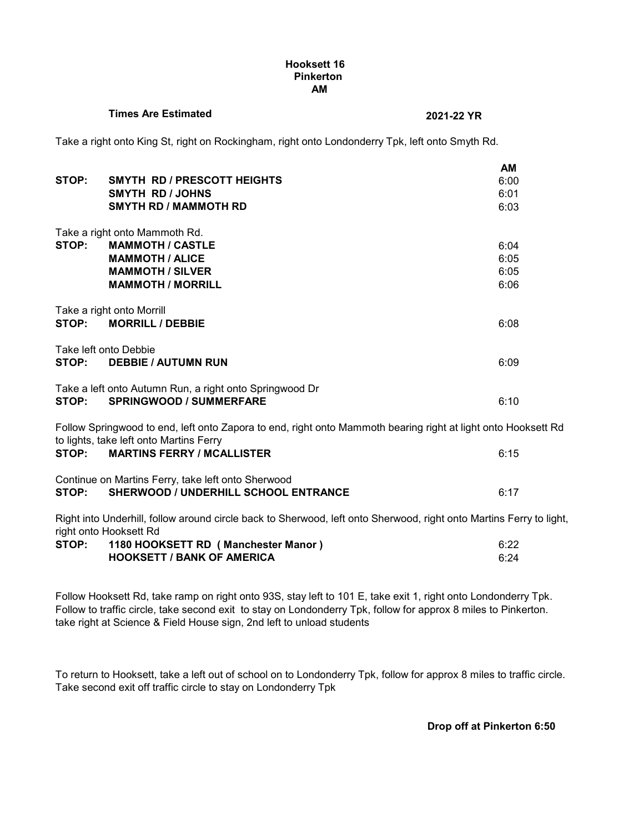### **Hooksett 16 Pinkerton AM**

# **Times Are Estimated 2021-22 YR**

Take a right onto King St, right on Rockingham, right onto Londonderry Tpk, left onto Smyth Rd.

|                       |                                                                                                                    | AМ   |
|-----------------------|--------------------------------------------------------------------------------------------------------------------|------|
| STOP:                 | SMYTH RD / PRESCOTT HEIGHTS                                                                                        | 6:00 |
|                       | SMYTH RD / JOHNS                                                                                                   | 6:01 |
|                       | <b>SMYTH RD / MAMMOTH RD</b>                                                                                       | 6:03 |
|                       |                                                                                                                    |      |
|                       | Take a right onto Mammoth Rd.                                                                                      |      |
| STOP:                 | <b>MAMMOTH / CASTLE</b>                                                                                            | 6:04 |
|                       | <b>MAMMOTH / ALICE</b>                                                                                             | 6:05 |
|                       | <b>MAMMOTH / SILVER</b>                                                                                            | 6:05 |
|                       | <b>MAMMOTH / MORRILL</b>                                                                                           | 6:06 |
|                       |                                                                                                                    |      |
|                       | Take a right onto Morrill                                                                                          |      |
| STOP:                 | <b>MORRILL / DEBBIE</b>                                                                                            | 6:08 |
| Take left onto Debbie |                                                                                                                    |      |
| STOP:                 | <b>DEBBIE / AUTUMN RUN</b>                                                                                         | 6:09 |
|                       |                                                                                                                    |      |
|                       | Take a left onto Autumn Run, a right onto Springwood Dr                                                            |      |
| STOP:                 | <b>SPRINGWOOD / SUMMERFARE</b>                                                                                     | 6:10 |
|                       |                                                                                                                    |      |
|                       | Follow Springwood to end, left onto Zapora to end, right onto Mammoth bearing right at light onto Hooksett Rd      |      |
|                       | to lights, take left onto Martins Ferry                                                                            |      |
| STOP:                 | <b>MARTINS FERRY / MCALLISTER</b>                                                                                  | 6:15 |
|                       |                                                                                                                    |      |
|                       | Continue on Martins Ferry, take left onto Sherwood                                                                 |      |
| STOP:                 | <b>SHERWOOD / UNDERHILL SCHOOL ENTRANCE</b>                                                                        | 6:17 |
|                       |                                                                                                                    |      |
|                       | Right into Underhill, follow around circle back to Sherwood, left onto Sherwood, right onto Martins Ferry to light |      |
|                       | right onto Hooksett Rd                                                                                             |      |

| .<br>STOP: | 1180 HOOKSETT RD (Manchester Manor) | 6:22 |
|------------|-------------------------------------|------|
|            | <b>HOOKSETT / BANK OF AMERICA</b>   | 6:24 |

Follow Hooksett Rd, take ramp on right onto 93S, stay left to 101 E, take exit 1, right onto Londonderry Tpk. Follow to traffic circle, take second exit to stay on Londonderry Tpk, follow for approx 8 miles to Pinkerton. take right at Science & Field House sign, 2nd left to unload students

To return to Hooksett, take a left out of school on to Londonderry Tpk, follow for approx 8 miles to traffic circle. Take second exit off traffic circle to stay on Londonderry Tpk